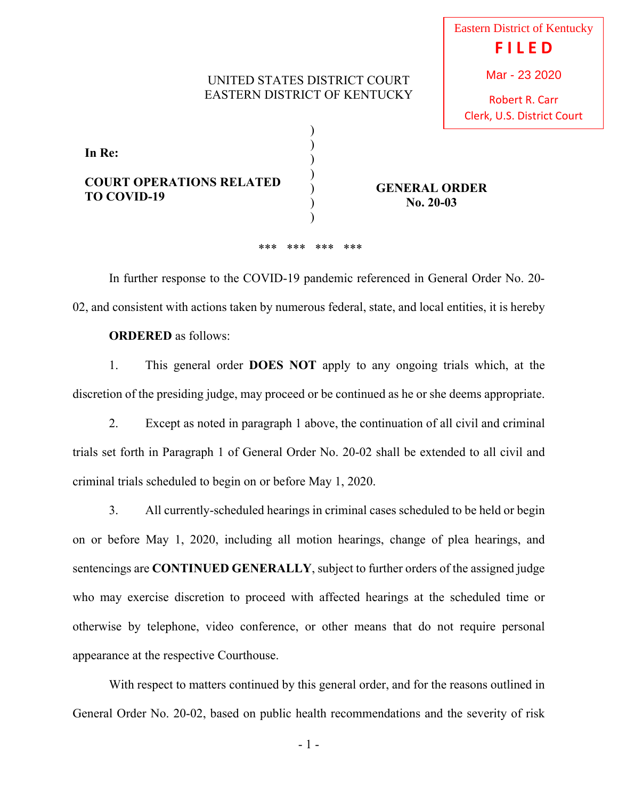## UNITED STATES DISTRICT COURT EASTERN DISTRICT OF KENTUCKY

) ) ) ) ) ) ) Robert R. Carr

**In Re: COURT OPERATIONS RELATED TO COVID-19** 

**GENERAL ORDER No. 20-03**

## \*\*\* \*\*\* \*\*\* \*\*\*

 In further response to the COVID-19 pandemic referenced in General Order No. 20- 02, and consistent with actions taken by numerous federal, state, and local entities, it is hereby

## **ORDERED** as follows:

 1. This general order **DOES NOT** apply to any ongoing trials which, at the discretion of the presiding judge, may proceed or be continued as he or she deems appropriate.

 2. Except as noted in paragraph 1 above, the continuation of all civil and criminal trials set forth in Paragraph 1 of General Order No. 20-02 shall be extended to all civil and criminal trials scheduled to begin on or before May 1, 2020.

 3. All currently-scheduled hearings in criminal cases scheduled to be held or begin on or before May 1, 2020, including all motion hearings, change of plea hearings, and sentencings are **CONTINUED GENERALLY**, subject to further orders of the assigned judge who may exercise discretion to proceed with affected hearings at the scheduled time or otherwise by telephone, video conference, or other means that do not require personal appearance at the respective Courthouse.

 With respect to matters continued by this general order, and for the reasons outlined in General Order No. 20-02, based on public health recommendations and the severity of risk

- 1 -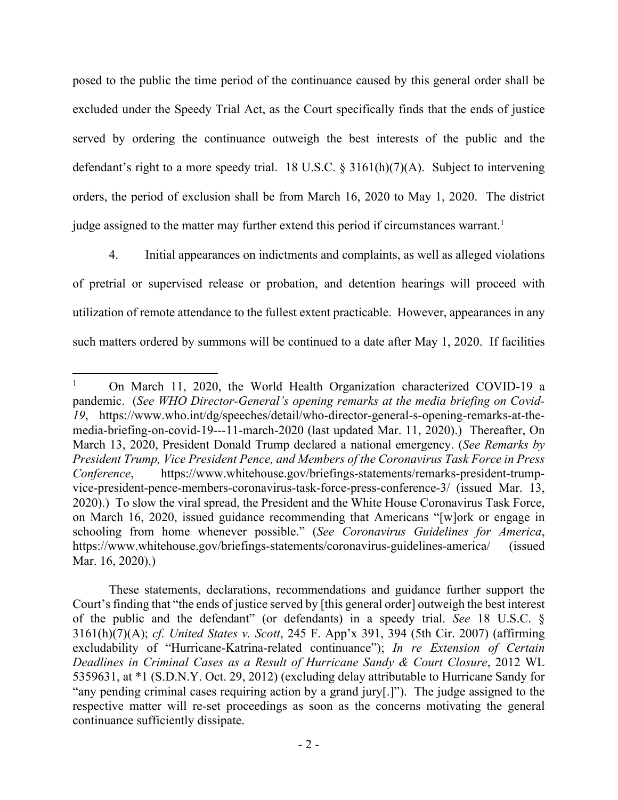posed to the public the time period of the continuance caused by this general order shall be excluded under the Speedy Trial Act, as the Court specifically finds that the ends of justice served by ordering the continuance outweigh the best interests of the public and the defendant's right to a more speedy trial. 18 U.S.C.  $\S$  3161(h)(7)(A). Subject to intervening orders, the period of exclusion shall be from March 16, 2020 to May 1, 2020. The district judge assigned to the matter may further extend this period if circumstances warrant.<sup>1</sup>

 4. Initial appearances on indictments and complaints, as well as alleged violations of pretrial or supervised release or probation, and detention hearings will proceed with utilization of remote attendance to the fullest extent practicable. However, appearances in any such matters ordered by summons will be continued to a date after May 1, 2020. If facilities

<sup>1</sup> On March 11, 2020, the World Health Organization characterized COVID-19 a pandemic. (*See WHO Director-General's opening remarks at the media briefing on Covid-19*, https://www.who.int/dg/speeches/detail/who-director-general-s-opening-remarks-at-themedia-briefing-on-covid-19---11-march-2020 (last updated Mar. 11, 2020).) Thereafter, On March 13, 2020, President Donald Trump declared a national emergency. (*See Remarks by President Trump, Vice President Pence, and Members of the Coronavirus Task Force in Press Conference*, https://www.whitehouse.gov/briefings-statements/remarks-president-trumpvice-president-pence-members-coronavirus-task-force-press-conference-3/ (issued Mar. 13, 2020).) To slow the viral spread, the President and the White House Coronavirus Task Force, on March 16, 2020, issued guidance recommending that Americans "[w]ork or engage in schooling from home whenever possible." (*See Coronavirus Guidelines for America*, https://www.whitehouse.gov/briefings-statements/coronavirus-guidelines-america/ (issued Mar. 16, 2020).)

These statements, declarations, recommendations and guidance further support the Court's finding that "the ends of justice served by [this general order] outweigh the best interest of the public and the defendant" (or defendants) in a speedy trial. *See* 18 U.S.C. § 3161(h)(7)(A); *cf. United States v. Scott*, 245 F. App'x 391, 394 (5th Cir. 2007) (affirming excludability of "Hurricane-Katrina-related continuance"); *In re Extension of Certain Deadlines in Criminal Cases as a Result of Hurricane Sandy & Court Closure*, 2012 WL 5359631, at \*1 (S.D.N.Y. Oct. 29, 2012) (excluding delay attributable to Hurricane Sandy for "any pending criminal cases requiring action by a grand jury[.]"). The judge assigned to the respective matter will re-set proceedings as soon as the concerns motivating the general continuance sufficiently dissipate.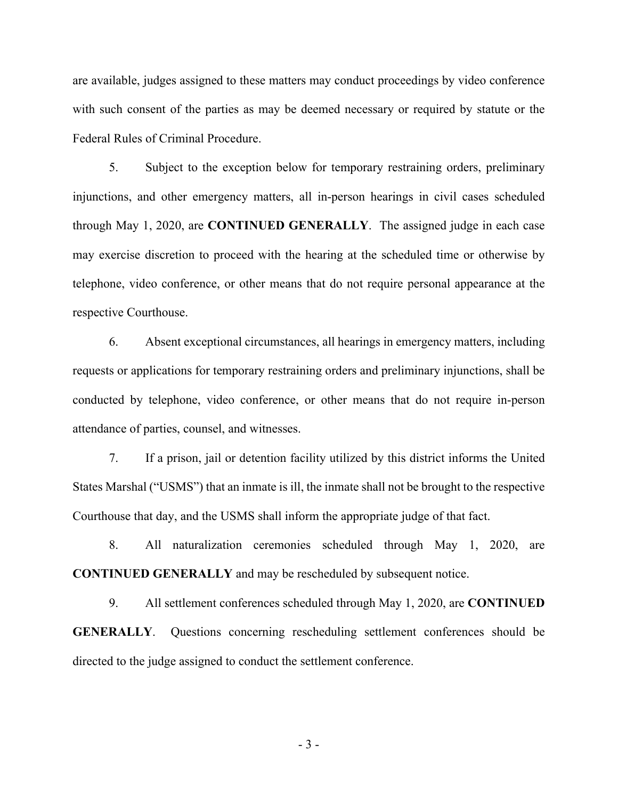are available, judges assigned to these matters may conduct proceedings by video conference with such consent of the parties as may be deemed necessary or required by statute or the Federal Rules of Criminal Procedure.

 5. Subject to the exception below for temporary restraining orders, preliminary injunctions, and other emergency matters, all in-person hearings in civil cases scheduled through May 1, 2020, are **CONTINUED GENERALLY**. The assigned judge in each case may exercise discretion to proceed with the hearing at the scheduled time or otherwise by telephone, video conference, or other means that do not require personal appearance at the respective Courthouse.

 6. Absent exceptional circumstances, all hearings in emergency matters, including requests or applications for temporary restraining orders and preliminary injunctions, shall be conducted by telephone, video conference, or other means that do not require in-person attendance of parties, counsel, and witnesses.

 7. If a prison, jail or detention facility utilized by this district informs the United States Marshal ("USMS") that an inmate is ill, the inmate shall not be brought to the respective Courthouse that day, and the USMS shall inform the appropriate judge of that fact.

 8. All naturalization ceremonies scheduled through May 1, 2020, are **CONTINUED GENERALLY** and may be rescheduled by subsequent notice.

 9. All settlement conferences scheduled through May 1, 2020, are **CONTINUED GENERALLY**. Questions concerning rescheduling settlement conferences should be directed to the judge assigned to conduct the settlement conference.

- 3 -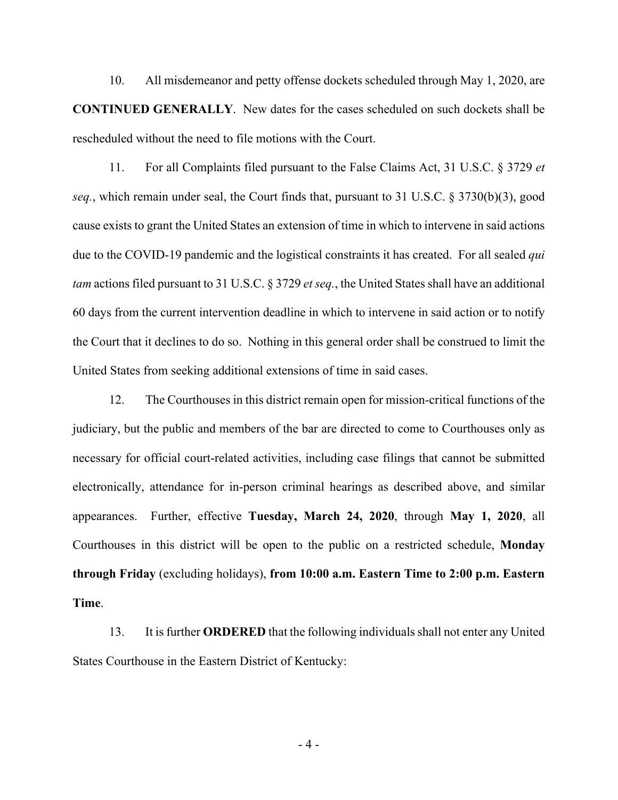10. All misdemeanor and petty offense dockets scheduled through May 1, 2020, are **CONTINUED GENERALLY**. New dates for the cases scheduled on such dockets shall be rescheduled without the need to file motions with the Court.

 11. For all Complaints filed pursuant to the False Claims Act, 31 U.S.C. § 3729 *et seq.*, which remain under seal, the Court finds that, pursuant to 31 U.S.C. § 3730(b)(3), good cause exists to grant the United States an extension of time in which to intervene in said actions due to the COVID-19 pandemic and the logistical constraints it has created. For all sealed *qui tam* actions filed pursuant to 31 U.S.C. § 3729 *et seq.*, the United States shall have an additional 60 days from the current intervention deadline in which to intervene in said action or to notify the Court that it declines to do so. Nothing in this general order shall be construed to limit the United States from seeking additional extensions of time in said cases.

 12. The Courthouses in this district remain open for mission-critical functions of the judiciary, but the public and members of the bar are directed to come to Courthouses only as necessary for official court-related activities, including case filings that cannot be submitted electronically, attendance for in-person criminal hearings as described above, and similar appearances. Further, effective **Tuesday, March 24, 2020**, through **May 1, 2020**, all Courthouses in this district will be open to the public on a restricted schedule, **Monday through Friday** (excluding holidays), **from 10:00 a.m. Eastern Time to 2:00 p.m. Eastern Time**.

 13. It is further **ORDERED** that the following individuals shall not enter any United States Courthouse in the Eastern District of Kentucky:

- 4 -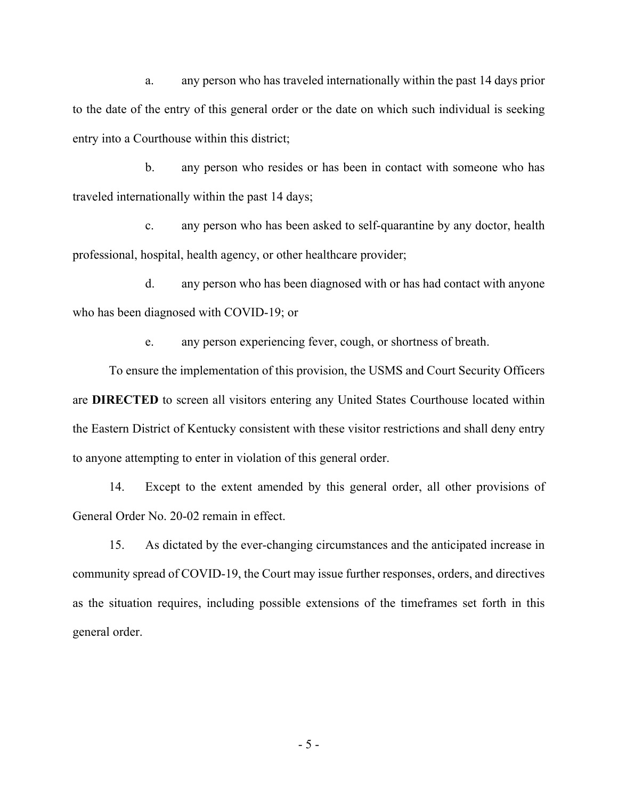a. any person who has traveled internationally within the past 14 days prior to the date of the entry of this general order or the date on which such individual is seeking entry into a Courthouse within this district;

 b. any person who resides or has been in contact with someone who has traveled internationally within the past 14 days;

 c. any person who has been asked to self-quarantine by any doctor, health professional, hospital, health agency, or other healthcare provider;

 d. any person who has been diagnosed with or has had contact with anyone who has been diagnosed with COVID-19; or

e. any person experiencing fever, cough, or shortness of breath.

 To ensure the implementation of this provision, the USMS and Court Security Officers are **DIRECTED** to screen all visitors entering any United States Courthouse located within the Eastern District of Kentucky consistent with these visitor restrictions and shall deny entry to anyone attempting to enter in violation of this general order.

 14. Except to the extent amended by this general order, all other provisions of General Order No. 20-02 remain in effect.

 15. As dictated by the ever-changing circumstances and the anticipated increase in community spread of COVID-19, the Court may issue further responses, orders, and directives as the situation requires, including possible extensions of the timeframes set forth in this general order.

- 5 -